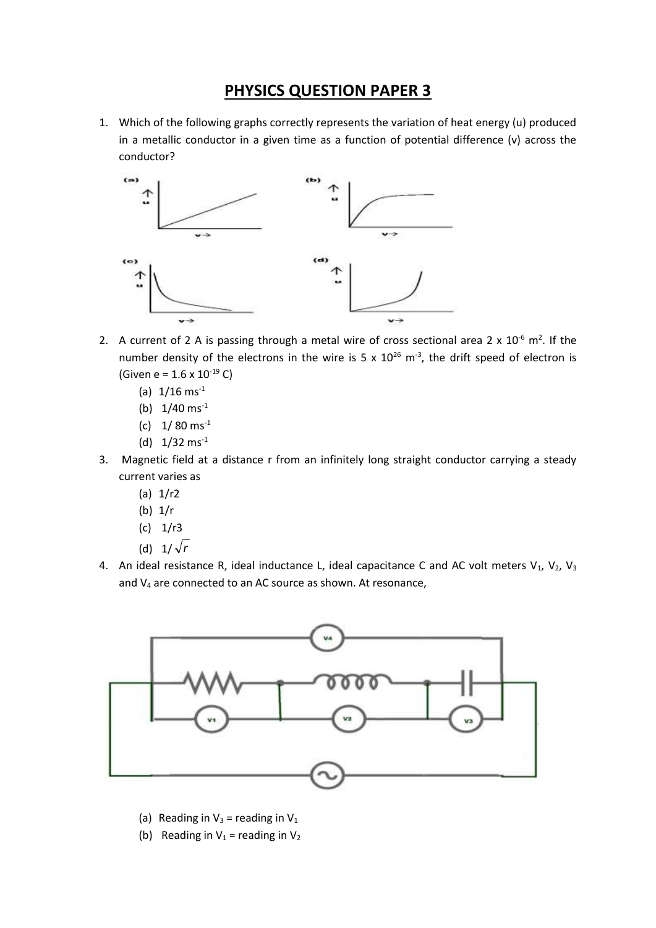## **PHYSICS QUESTION PAPER 3**

1. Which of the following graphs correctly represents the variation of heat energy (u) produced in a metallic conductor in a given time as a function of potential difference (v) across the conductor?



- 2. A current of 2 A is passing through a metal wire of cross sectional area 2 x  $10^{-6}$  m<sup>2</sup>. If the number density of the electrons in the wire is 5 x  $10^{26}$  m<sup>-3</sup>, the drift speed of electron is (Given e =  $1.6 \times 10^{-19}$  C)
	- (a)  $1/16$  ms<sup>-1</sup>
	- (b)  $1/40$  ms<sup>-1</sup>
	- (c)  $1/80$  ms<sup>-1</sup>
	- (d)  $1/32$  ms<sup>-1</sup>
- 3. Magnetic field at a distance r from an infinitely long straight conductor carrying a steady current varies as
	- (a) 1/r2
	- (b) 1/r
	- $(c)$  1/r3
	- (d) 1/ *r*
- 4. An ideal resistance R, ideal inductance L, ideal capacitance C and AC volt meters  $V_1$ ,  $V_2$ ,  $V_3$ and V<sup>4</sup> are connected to an AC source as shown. At resonance,



- (a) Reading in  $V_3$  = reading in  $V_1$
- (b) Reading in  $V_1$  = reading in  $V_2$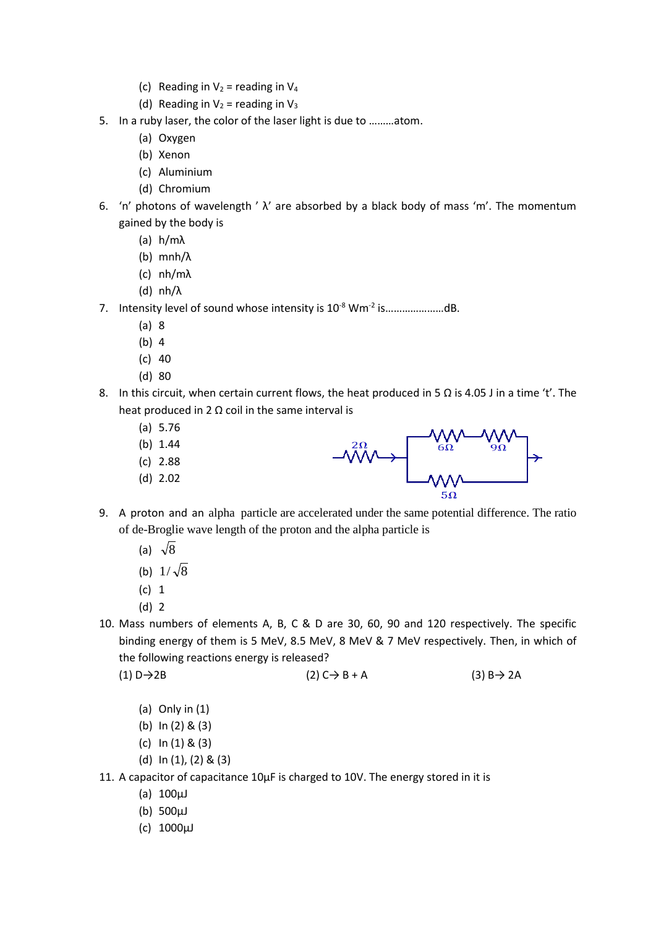- (c) Reading in  $V_2$  = reading in  $V_4$
- (d) Reading in  $V_2$  = reading in  $V_3$
- 5. In a ruby laser, the color of the laser light is due to ………atom.
	- (a) Oxygen
	- (b) Xenon
	- (c) Aluminium
	- (d) Chromium
- 6. 'n' photons of wavelength '  $\lambda$ ' are absorbed by a black body of mass 'm'. The momentum gained by the body is
	- (a) h/mλ
	- (b) mnh/λ
	- (c) nh/mλ
	- (d) nh/λ
- 7. Intensity level of sound whose intensity is 10<sup>-8</sup> Wm<sup>-2</sup> is...................dB.
	- (a) 8
	- (b) 4
	- (c) 40
	- (d) 80
- 8. In this circuit, when certain current flows, the heat produced in 5  $\Omega$  is 4.05 J in a time 't'. The heat produced in 2  $\Omega$  coil in the same interval is
	- (a) 5.76
	- (b) 1.44
	- (c) 2.88
	- (d) 2.02
- $-MM$
- 9. A proton and an alpha particle are accelerated under the same potential difference. The ratio of de-Broglie wave length of the proton and the alpha particle is
	- (a)  $\sqrt{8}$
	- (b)  $1/\sqrt{8}$
	- (c) 1
	- (d) 2
- 10. Mass numbers of elements A, B, C & D are 30, 60, 90 and 120 respectively. The specific binding energy of them is 5 MeV, 8.5 MeV, 8 MeV & 7 MeV respectively. Then, in which of the following reactions energy is released?

```
(1) D→2B (2) C→ B + A (3) B→ 2A
```
- (a) Only in (1)
- (b) In (2) & (3)
- (c) In (1) & (3)
- (d) In (1), (2) & (3)
- 11. A capacitor of capacitance 10µF is charged to 10V. The energy stored in it is
	- (a)  $100 \mu$ J
	- (b) 500µJ
	- (c) 1000µJ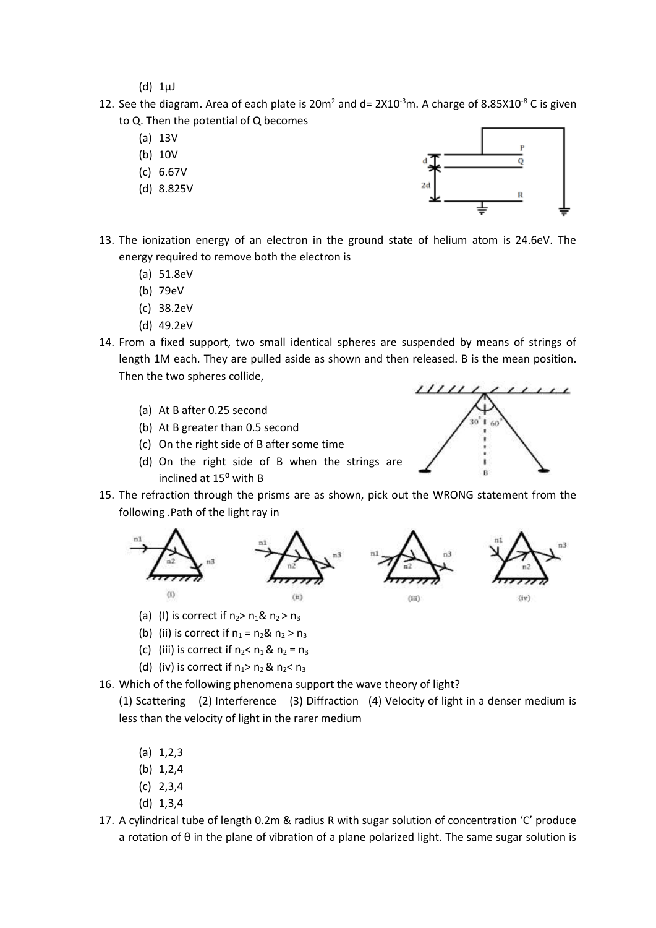$(d)$  1 $\mu$ J

- 12. See the diagram. Area of each plate is  $20m^2$  and d=  $2X10^{-3}$ m. A charge of 8.85X10<sup>-8</sup> C is given to Q. Then the potential of Q becomes
	- (a) 13V
	- (b) 10V
	- (c) 6.67V
	- (d) 8.825V



 $11111$ 

- 13. The ionization energy of an electron in the ground state of helium atom is 24.6eV. The energy required to remove both the electron is
	- (a) 51.8eV
	- (b) 79eV
	- (c) 38.2eV
	- (d) 49.2eV
- 14. From a fixed support, two small identical spheres are suspended by means of strings of length 1M each. They are pulled aside as shown and then released. B is the mean position. Then the two spheres collide,
	- (a) At B after 0.25 second
	- (b) At B greater than 0.5 second
	- (c) On the right side of B after some time
	- (d) On the right side of B when the strings are inclined at 15⁰ with B
- 15. The refraction through the prisms are as shown, pick out the WRONG statement from the following .Path of the light ray in



- (a) (I) is correct if  $n_2$  >  $n_1$ &  $n_2$  >  $n_3$
- (b) (ii) is correct if  $n_1 = n_2$ &  $n_2 > n_3$
- (c) (iii) is correct if  $n_2 < n_1$  &  $n_2 = n_3$
- (d) (iv) is correct if  $n_1$ >  $n_2$  &  $n_2$ <  $n_3$
- 16. Which of the following phenomena support the wave theory of light?

(1) Scattering (2) Interference (3) Diffraction (4) Velocity of light in a denser medium is less than the velocity of light in the rarer medium

- $(a) 1, 2, 3$
- (b) 1,2,4
- (c) 2,3,4
- (d) 1,3,4
- 17. A cylindrical tube of length 0.2m & radius R with sugar solution of concentration 'C' produce a rotation of θ in the plane of vibration of a plane polarized light. The same sugar solution is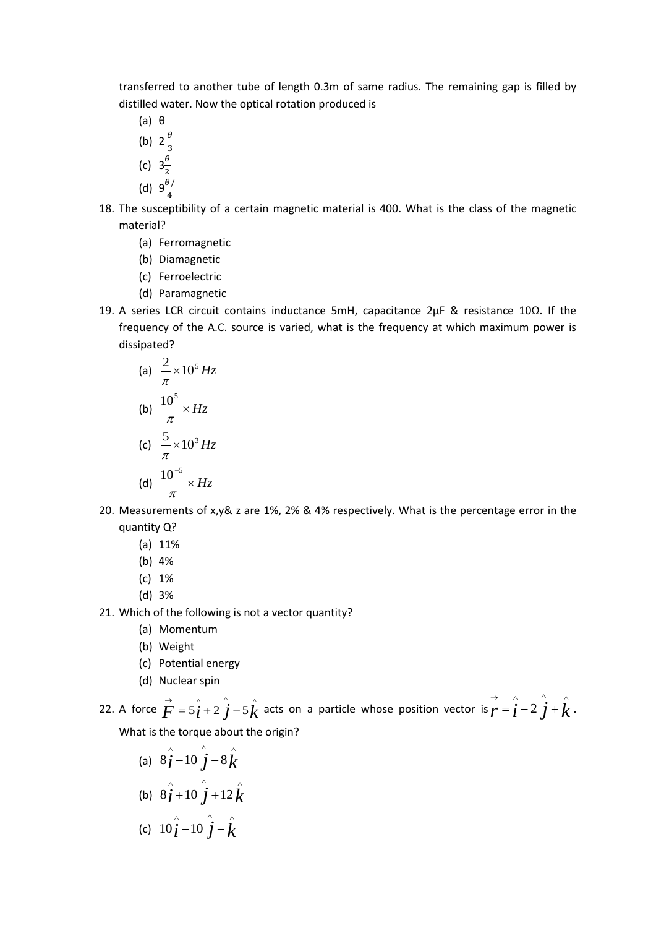transferred to another tube of length 0.3m of same radius. The remaining gap is filled by distilled water. Now the optical rotation produced is

- (a) θ
- (b)  $2\frac{\theta}{2}$
- 3
- (c)  $3\frac{\theta}{2}$ 2
- (d)  $9\frac{\theta}{4}$ 4
- 18. The susceptibility of a certain magnetic material is 400. What is the class of the magnetic material?
	- (a) Ferromagnetic
	- (b) Diamagnetic
	- (c) Ferroelectric
	- (d) Paramagnetic
- 19. A series LCR circuit contains inductance 5mH, capacitance 2µF & resistance 10Ω. If the frequency of the A.C. source is varied, what is the frequency at which maximum power is dissipated?

(a) 
$$
\frac{2}{\pi} \times 10^5 Hz
$$
  
\n(b)  $\frac{10^5}{\pi} \times Hz$   
\n(c)  $\frac{5}{\pi} \times 10^3 Hz$   
\n(d)  $\frac{10^{-5}}{\pi} \times Hz$ 

- 20. Measurements of x,y& z are 1%, 2% & 4% respectively. What is the percentage error in the quantity Q?
	- (a) 11%
	- (b) 4%
	- (c) 1%
	- (d) 3%
- 21. Which of the following is not a vector quantity?
	- (a) Momentum
	- (b) Weight
	- (c) Potential energy
	- (d) Nuclear spin

22. A force  $\vec{F} = 5\hat{i} + 2\hat{j} - 5\hat{k}$  $= 5\hat{i} + 2\hat{j} - 5\hat{k}$  acts on a particle whose position vector is  $\vec{r} = \hat{i} - 2\hat{j} + \hat{k}$  $= i - 2 j + k$ . What is the torque about the origin?

(a)  $8\hat{i}$  -  $10\hat{j}$  -  $8\hat{k}$  $8j - 10 j - 8$ (b)  $8\hat{i} + 10\hat{j} + 12\hat{k}$  $8j+10 j+12$ (c)  $10\hat{i} - 10\hat{j} - \hat{k}$  $10j - 10j -$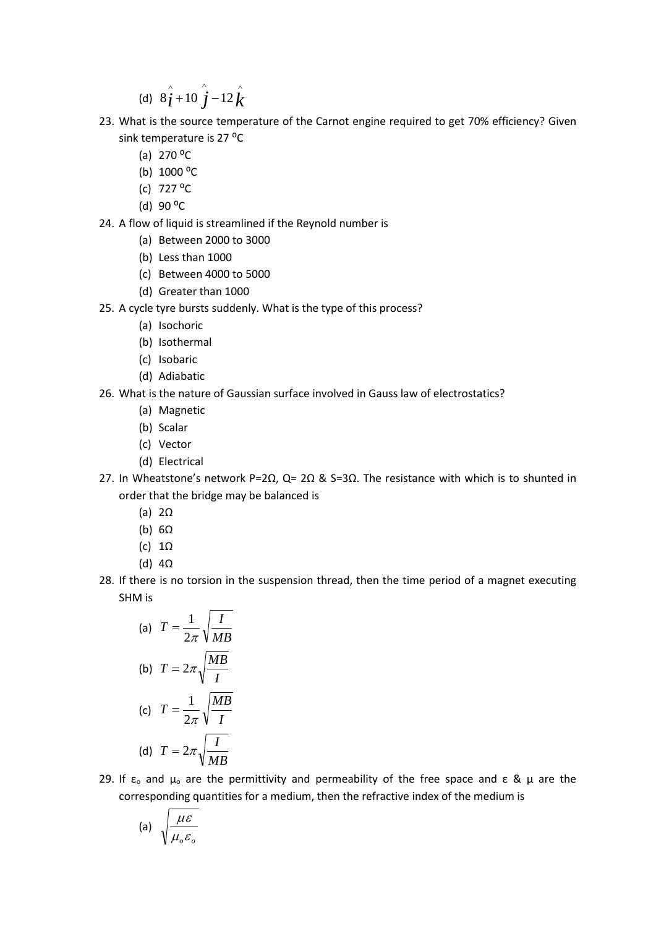(d)  $8\hat{i} + 10\hat{j} - 12\hat{k}$  $8j+10 j-12$ 

- 23. What is the source temperature of the Carnot engine required to get 70% efficiency? Given sink temperature is 27 °C
	- (a)  $270 °C$
	- (b)  $1000 °C$
	- (c) 727 ⁰C
	- (d)  $90 °C$
- 24. A flow of liquid is streamlined if the Reynold number is
	- (a) Between 2000 to 3000
	- (b) Less than 1000
	- (c) Between 4000 to 5000
	- (d) Greater than 1000
- 25. A cycle tyre bursts suddenly. What is the type of this process?
	- (a) Isochoric
	- (b) Isothermal
	- (c) Isobaric
	- (d) Adiabatic
- 26. What is the nature of Gaussian surface involved in Gauss law of electrostatics?
	- (a) Magnetic
	- (b) Scalar
	- (c) Vector
	- (d) Electrical
- 27. In Wheatstone's network P=2Ω, Q= 2Ω & S=3Ω. The resistance with which is to shunted in order that the bridge may be balanced is
	- (a) 2Ω
	- (b) 6Ω
	- (c) 1Ω
	- (d) 4Ω
- 28. If there is no torsion in the suspension thread, then the time period of a magnet executing SHM is

(a) 
$$
T = \frac{1}{2\pi} \sqrt{\frac{I}{MB}}
$$
  
\n(b)  $T = 2\pi \sqrt{\frac{MB}{I}}$   
\n(c)  $T = \frac{1}{2\pi} \sqrt{\frac{MB}{I}}$   
\n(d)  $T = 2\pi \sqrt{\frac{I}{MB}}$ 

29. If  $\varepsilon_0$  and  $\mu_0$  are the permittivity and permeability of the free space and  $\varepsilon$  &  $\mu$  are the corresponding quantities for a medium, then the refractive index of the medium is

(a) 
$$
\sqrt{\frac{\mu \varepsilon}{\mu_{o} \varepsilon_{o}}}
$$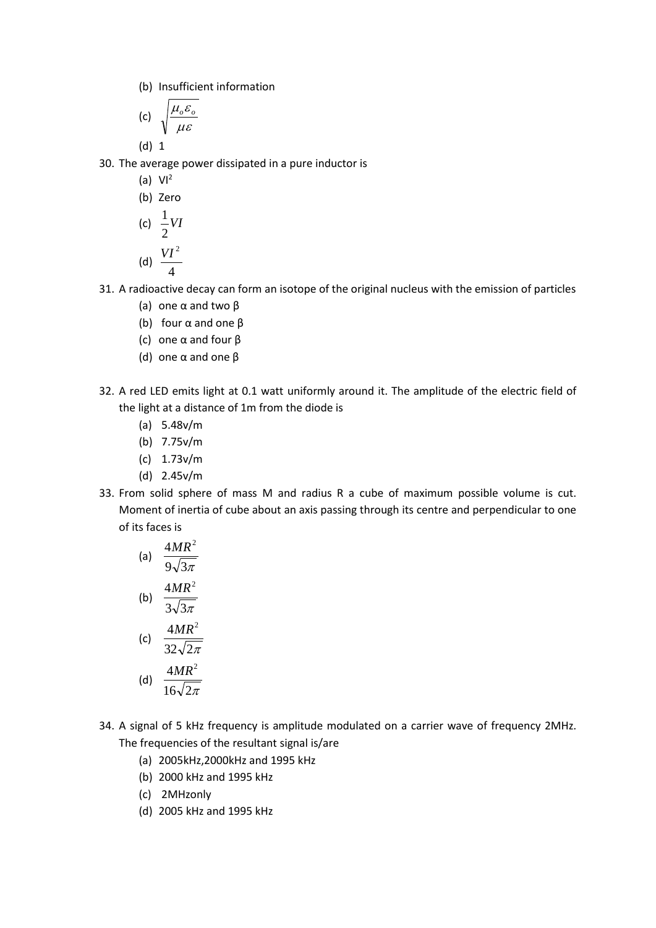(b) Insufficient information

(c) 
$$
\sqrt{\frac{\mu_o \varepsilon_o}{\mu \varepsilon}}
$$

(d) 1

30. The average power dissipated in a pure inductor is

(a) 
$$
Vl^2
$$
  
(b) Zero  
(c)  $\frac{1}{2}VI$ 

$$
\text{(d)}\ \frac{VI^2}{4}
$$

- 31. A radioactive decay can form an isotope of the original nucleus with the emission of particles
	- (a) one α and two β
	- (b) four α and one β
	- (c) one α and four β
	- (d) one α and one β
- 32. A red LED emits light at 0.1 watt uniformly around it. The amplitude of the electric field of the light at a distance of 1m from the diode is
	- (a) 5.48v/m
	- (b) 7.75v/m
	- (c) 1.73v/m
	- (d) 2.45v/m
- 33. From solid sphere of mass M and radius R a cube of maximum possible volume is cut. Moment of inertia of cube about an axis passing through its centre and perpendicular to one of its faces is

(a) 
$$
\frac{4MR^2}{9\sqrt{3\pi}}
$$
  
\n(b) 
$$
\frac{4MR^2}{3\sqrt{3\pi}}
$$
  
\n(c) 
$$
\frac{4MR^2}{32\sqrt{2\pi}}
$$
  
\n(d) 
$$
\frac{4MR^2}{16\sqrt{2\pi}}
$$

- 34. A signal of 5 kHz frequency is amplitude modulated on a carrier wave of frequency 2MHz. The frequencies of the resultant signal is/are
	- (a) 2005kHz,2000kHz and 1995 kHz
	- (b) 2000 kHz and 1995 kHz
	- (c) 2MHzonly
	- (d) 2005 kHz and 1995 kHz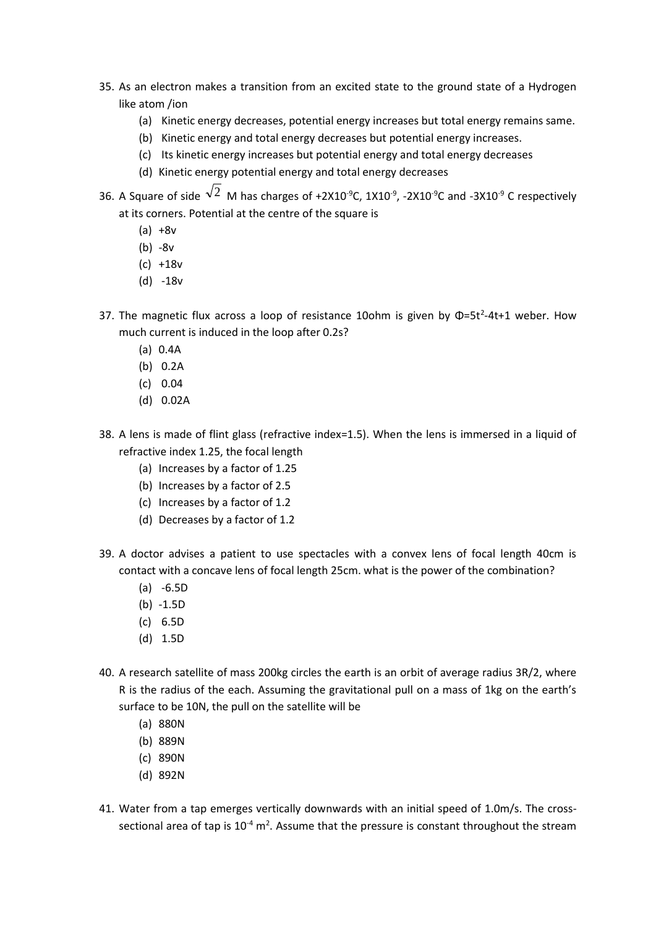- 35. As an electron makes a transition from an excited state to the ground state of a Hydrogen like atom /ion
	- (a) Kinetic energy decreases, potential energy increases but total energy remains same.
	- (b) Kinetic energy and total energy decreases but potential energy increases.
	- (c) Its kinetic energy increases but potential energy and total energy decreases
	- (d) Kinetic energy potential energy and total energy decreases
- 36. A Square of side  $\sqrt{2}$  M has charges of +2X10<sup>-9</sup>C, 1X10<sup>-9</sup>, -2X10<sup>-9</sup>C and -3X10<sup>-9</sup> C respectively at its corners. Potential at the centre of the square is
	- $(a) +8v$
	- (b) -8v
	- (c) +18v
	- (d) -18v
- 37. The magnetic flux across a loop of resistance 10ohm is given by  $\Phi = 5t^2 4t + 1$  weber. How much current is induced in the loop after 0.2s?
	- (a) 0.4A
	- (b) 0.2A
	- (c) 0.04
	- (d) 0.02A
- 38. A lens is made of flint glass (refractive index=1.5). When the lens is immersed in a liquid of refractive index 1.25, the focal length
	- (a) Increases by a factor of 1.25
	- (b) Increases by a factor of 2.5
	- (c) Increases by a factor of 1.2
	- (d) Decreases by a factor of 1.2
- 39. A doctor advises a patient to use spectacles with a convex lens of focal length 40cm is contact with a concave lens of focal length 25cm. what is the power of the combination?
	- (a) -6.5D
	- (b) -1.5D
	- (c) 6.5D
	- (d) 1.5D
- 40. A research satellite of mass 200kg circles the earth is an orbit of average radius 3R/2, where R is the radius of the each. Assuming the gravitational pull on a mass of 1kg on the earth's surface to be 10N, the pull on the satellite will be
	- (a) 880N
	- (b) 889N
	- (c) 890N
	- (d) 892N
- 41. Water from a tap emerges vertically downwards with an initial speed of 1.0m/s. The crosssectional area of tap is  $10^{-4}$  m<sup>2</sup>. Assume that the pressure is constant throughout the stream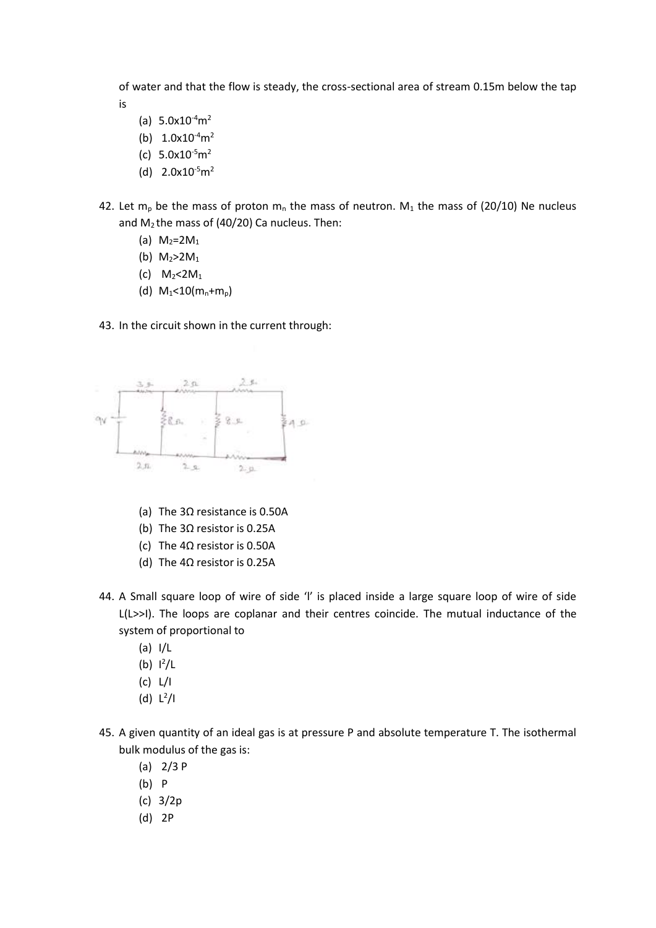of water and that the flow is steady, the cross-sectional area of stream 0.15m below the tap is

- (a)  $5.0x10^{-4}m^2$
- (b)  $1.0x10^{-4}m^2$
- (c)  $5.0x10^{-5}m^2$
- (d)  $2.0x10^{-5}m^2$
- 42. Let m<sub>p</sub> be the mass of proton m<sub>n</sub> the mass of neutron. M<sub>1</sub> the mass of (20/10) Ne nucleus and  $M_2$  the mass of (40/20) Ca nucleus. Then:
	- (a)  $M_2 = 2M_1$
	- (b)  $M_2 > 2M_1$
	- (c)  $M_2 < 2M_1$
	- (d)  $M_1$ <10( $m_n+m_p$ )

43. In the circuit shown in the current through:



- (a) The 3Ω resistance is 0.50A
- (b) The 3Ω resistor is 0.25A
- (c) The 4Ω resistor is 0.50A
- (d) The 4Ω resistor is 0.25A
- 44. A Small square loop of wire of side 'l' is placed inside a large square loop of wire of side L(L>>I). The loops are coplanar and their centres coincide. The mutual inductance of the system of proportional to
	- (a) I/L
	- $(b)$   $1^2/L$
	- (c) L/I
	- (d)  $L^2/I$
- 45. A given quantity of an ideal gas is at pressure P and absolute temperature T. The isothermal bulk modulus of the gas is:
	- (a) 2/3 P
	- (b) P
	- (c) 3/2p
	- (d) 2P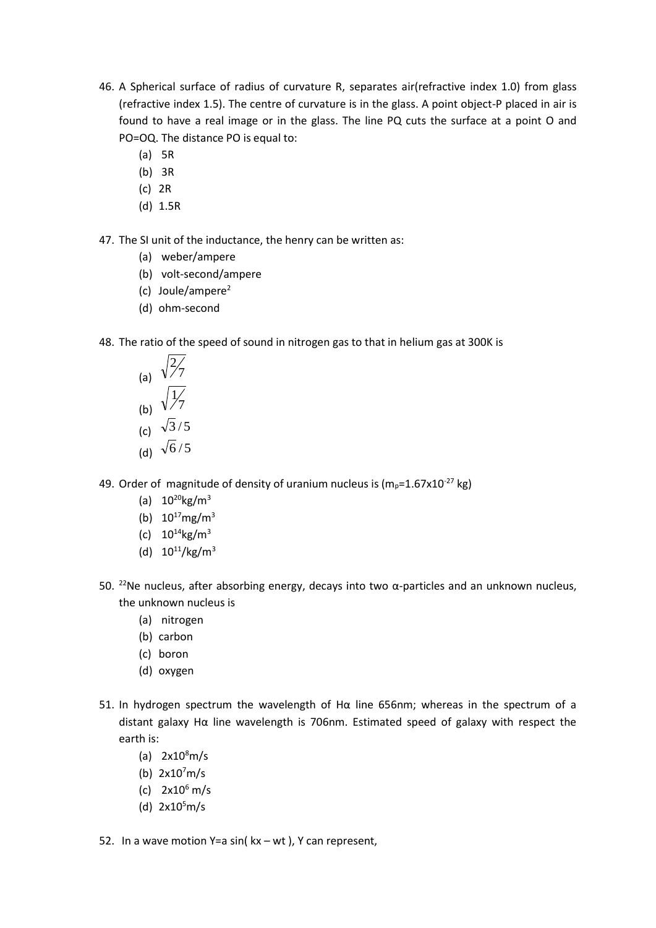- 46. A Spherical surface of radius of curvature R, separates air(refractive index 1.0) from glass (refractive index 1.5). The centre of curvature is in the glass. A point object-P placed in air is found to have a real image or in the glass. The line PQ cuts the surface at a point O and PO=OQ. The distance PO is equal to:
	- (a) 5R
	- (b) 3R
	- (c) 2R
	- (d) 1.5R

47. The SI unit of the inductance, the henry can be written as:

- (a) weber/ampere
- (b) volt-second/ampere
- (c) Joule/ampere<sup>2</sup>
- (d) ohm-second
- 48. The ratio of the speed of sound in nitrogen gas to that in helium gas at 300K is

(a) 
$$
\sqrt{\frac{2}{7}}
$$
  
\n(b)  $\sqrt{\frac{1}{7}}$   
\n(c)  $\sqrt{3}/5$ 

- (d)  $\sqrt{6/5}$
- 49. Order of magnitude of density of uranium nucleus is  $(m_p=1.67 \times 10^{-27} \text{ kg})$ 
	- (a)  $10^{20}$ kg/m<sup>3</sup>
	- (b)  $10^{17}$ mg/m<sup>3</sup>
	- (c)  $10^{14}$ kg/m<sup>3</sup>
	- (d)  $10^{11}/\text{kg/m}^3$
- 50. <sup>22</sup>Ne nucleus, after absorbing energy, decays into two α-particles and an unknown nucleus, the unknown nucleus is
	- (a) nitrogen
	- (b) carbon
	- (c) boron
	- (d) oxygen
- 51. In hydrogen spectrum the wavelength of Hα line 656nm; whereas in the spectrum of a distant galaxy Hα line wavelength is 706nm. Estimated speed of galaxy with respect the earth is:
	- (a)  $2x10<sup>8</sup>m/s$
	- (b)  $2x10^7m/s$
	- (c)  $2x10^6$  m/s
	- (d)  $2x10^5$ m/s
- 52. In a wave motion Y=a sin( kx wt ), Y can represent,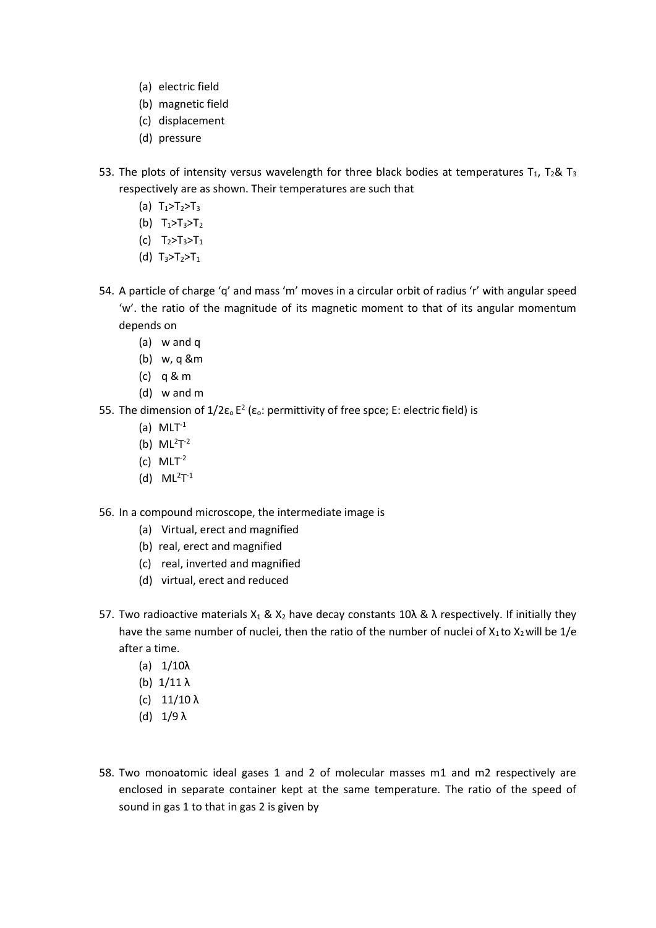- (a) electric field
- (b) magnetic field
- (c) displacement
- (d) pressure
- 53. The plots of intensity versus wavelength for three black bodies at temperatures  $T_1$ ,  $T_2$ &  $T_3$ respectively are as shown. Their temperatures are such that
	- (a)  $T_1 > T_2 > T_3$
	- (b)  $T_1 > T_3 > T_2$
	- (c)  $T_2 > T_3 > T_1$
	- (d)  $T_3 > T_2 > T_1$
- 54. A particle of charge 'q' and mass 'm' moves in a circular orbit of radius 'r' with angular speed 'w'. the ratio of the magnitude of its magnetic moment to that of its angular momentum depends on
	- (a) w and q
	- (b) w, q &m
	- (c) q & m
	- (d) w and m
- 55. The dimension of  $1/2\epsilon_0 E^2$  (ε<sub>o</sub>: permittivity of free spce; E: electric field) is
	- (a)  $MLT^{-1}$
	- (b)  $ML^2T^{-2}$
	- (c)  $MLT^{-2}$
	- (d)  $ML^2T^{-1}$

56. In a compound microscope, the intermediate image is

- (a) Virtual, erect and magnified
- (b) real, erect and magnified
- (c) real, inverted and magnified
- (d) virtual, erect and reduced
- 57. Two radioactive materials X<sub>1</sub> & X<sub>2</sub> have decay constants 10λ & λ respectively. If initially they have the same number of nuclei, then the ratio of the number of nuclei of  $X_1$  to  $X_2$  will be 1/e after a time.
	- (a) 1/10λ
	- (b)  $1/11 \lambda$
	- (c) 11/10 λ
	- (d)  $1/9 \lambda$
- 58. Two monoatomic ideal gases 1 and 2 of molecular masses m1 and m2 respectively are enclosed in separate container kept at the same temperature. The ratio of the speed of sound in gas 1 to that in gas 2 is given by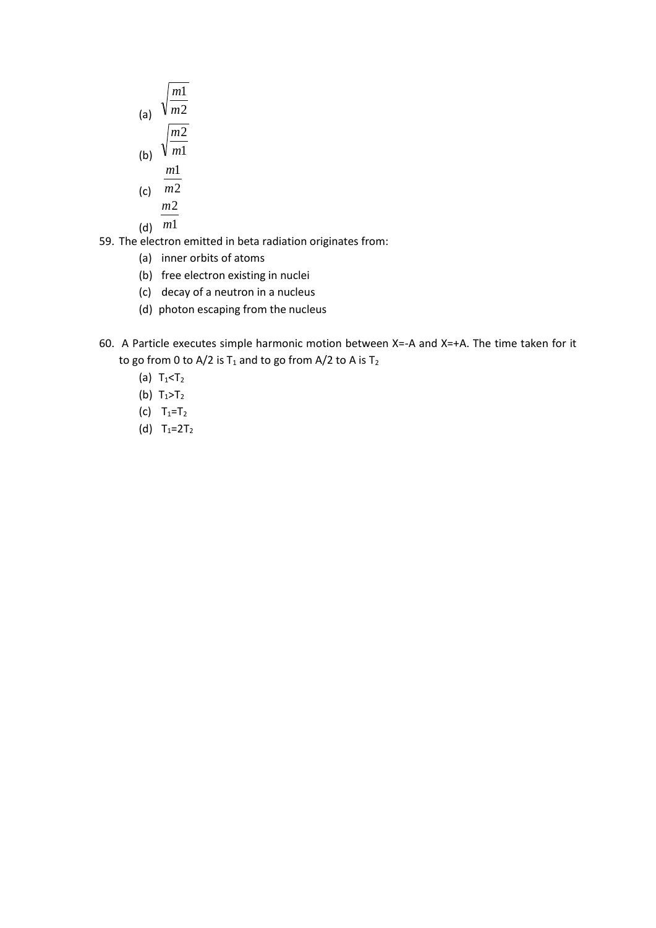(a) 
$$
\sqrt{\frac{m1}{m2}}
$$
  
(b) 
$$
\sqrt{\frac{m2}{m1}}
$$
  

$$
m1
$$

(c) 
$$
\frac{m_1}{m_2}
$$

$$
\underline{m2}
$$

(d)  $m1$ 

59. The electron emitted in beta radiation originates from:

- (a) inner orbits of atoms
- (b) free electron existing in nuclei
- (c) decay of a neutron in a nucleus
- (d) photon escaping from the nucleus
- 60. A Particle executes simple harmonic motion between X=-A and X=+A. The time taken for it to go from 0 to A/2 is  $T_1$  and to go from A/2 to A is  $T_2$ 
	- (a)  $T_1 < T_2$
	- (b)  $T_1 > T_2$
	- (c)  $T_1 = T_2$
	- (d)  $T_1=2T_2$